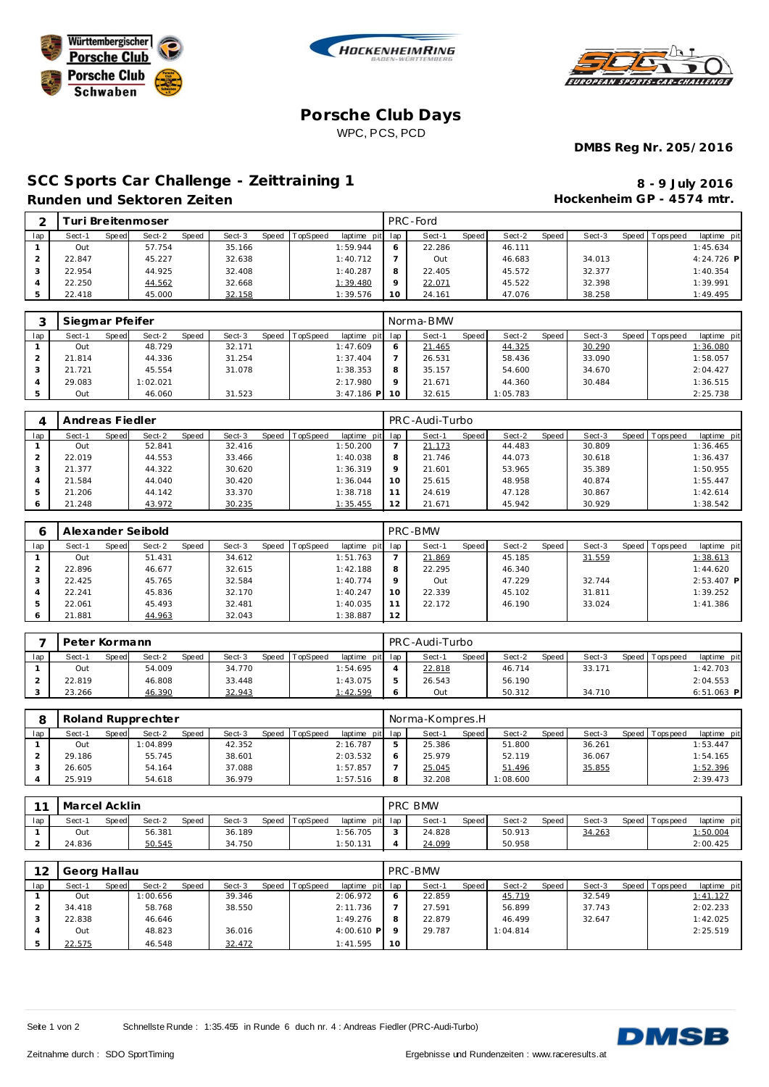





## **Porsche Club Days** WPC, PCS, PCD

**DMBS Reg Nr. 205/2016**

## SCC Sports Car Challenge - Zeittraining 1 **8 - 9 July 2016 Runden und Sektoren Zeiten**

**Hockenheim GP - 4574 mtr.**

| ⌒   |        |       | i uri Breitenmoser |       |        |              |          |                 |         | PRC - Ford |       |        |       |        |       |            |              |
|-----|--------|-------|--------------------|-------|--------|--------------|----------|-----------------|---------|------------|-------|--------|-------|--------|-------|------------|--------------|
| lap | Sect-1 | Speed | Sect-2             | Speed | Sect-3 | <b>Speed</b> | TopSpeed | laptime<br>pitl | lap     | Sect-1     | Speed | Sect-2 | Speed | Sect-3 | Speed | T ops peed | laptime pit  |
|     | Out    |       | 57.754             |       | 35.166 |              |          | 1:59.944        | 6       | 22.286     |       | 46.111 |       |        |       |            | 1:45.634     |
|     | 22.847 |       | 45.227             |       | 32.638 |              |          | 1:40.712        |         | Out        |       | 46.683 |       | 34.013 |       |            | $4:24.726$ P |
|     | 22.954 |       | 44.925             |       | 32.408 |              |          | 1:40.287        | 8       | 22.405     |       | 45.572 |       | 32.377 |       |            | 1:40.354     |
|     | 22.250 |       | 44.562             |       | 32.668 |              |          | 1:39.480        | $\circ$ | 22.071     |       | 45.522 |       | 32.398 |       |            | 1:39.991     |
|     | 22.418 |       | 45.000             |       | 32.158 |              |          | 1:39.576        | 10      | 24.161     |       | 47.076 |       | 38.258 |       |            | 1:49.495     |

|     | Siegmar Pfeifer |       |          |       |        |       |          |                 |          | Norma-BMW |       |          |       |        |                |             |
|-----|-----------------|-------|----------|-------|--------|-------|----------|-----------------|----------|-----------|-------|----------|-------|--------|----------------|-------------|
| lap | Sect-1          | Speed | Sect-2   | Speed | Sect-3 | Speed | TopSpeed | laptime pit lap |          | Sect-1    | Speed | Sect-2   | Speed | Sect-3 | Speed Topspeed | laptime pit |
|     | Out             |       | 48.729   |       | 32.171 |       |          | 1:47.609        |          | 21.465    |       | 44.325   |       | 30.290 |                | 1:36.080    |
|     | 21.814          |       | 44.336   |       | 31.254 |       |          | 1:37.404        |          | 26.531    |       | 58.436   |       | 33.090 |                | 1:58.057    |
|     | 21.721          |       | 45.554   |       | 31.078 |       |          | 1:38.353        |          | 35.157    |       | 54.600   |       | 34.670 |                | 2:04.427    |
|     | 29.083          |       | 1:02.021 |       |        |       |          | 2:17.980        | $\Omega$ | 21.671    |       | 44.360   |       | 30.484 |                | 1:36.515    |
|     | Out             |       | 46.060   |       | 31.523 |       |          | $3:47.186$ P    | $-10$    | 32.615    |       | 1:05.783 |       |        |                | 2:25.738    |

|     | Andreas Fiedler |                 |       |        |                  |                 |                 | PRC-Audi-Turbo |       |        |       |        |                |             |
|-----|-----------------|-----------------|-------|--------|------------------|-----------------|-----------------|----------------|-------|--------|-------|--------|----------------|-------------|
| lap | Sect-1          | Sect-2<br>Speed | Speed | Sect-3 | Speed   TopSpeed | laptime pit lap |                 | Sect-1         | Speed | Sect-2 | Speed | Sect-3 | Speed Topspeed | laptime pit |
|     | Out             | 52.841          |       | 32.416 |                  | 1:50.200        |                 | 21.173         |       | 44.483 |       | 30.809 |                | 1:36.465    |
|     | 22.019          | 44.553          |       | 33.466 |                  | 1:40.038        | 8               | 21.746         |       | 44.073 |       | 30.618 |                | 1:36.437    |
|     | 21.377          | 44.322          |       | 30.620 |                  | 1:36.319        | $\circ$         | 21.601         |       | 53.965 |       | 35.389 |                | 1:50.955    |
|     | 21.584          | 44.040          |       | 30.420 |                  | 1:36.044        | 10 <sup>°</sup> | 25.615         |       | 48.958 |       | 40.874 |                | 1:55.447    |
|     | 21.206          | 44.142          |       | 33.370 |                  | 1:38.718        |                 | 24.619         |       | 47.128 |       | 30.867 |                | 1:42.614    |
|     | 21.248          | 43.972          |       | 30.235 |                  | 1:35.455        | 12              | 21.671         |       | 45.942 |       | 30.929 |                | 1:38.542    |

|     |        |       | Alexander Seibold |       |        |       |                 |                 |          | PRC-BMW |       |        |       |        |                |              |
|-----|--------|-------|-------------------|-------|--------|-------|-----------------|-----------------|----------|---------|-------|--------|-------|--------|----------------|--------------|
| lap | Sect-1 | Speed | Sect-2            | Speed | Sect-3 | Speed | <b>TopSpeed</b> | laptime pit lap |          | Sect-1  | Speed | Sect-2 | Speed | Sect-3 | Speed Topspeed | laptime pit  |
|     | Out    |       | 51.431            |       | 34.612 |       |                 | 1:51.763        |          | 21.869  |       | 45.185 |       | 31.559 |                | 1:38.613     |
|     | 22.896 |       | 46.677            |       | 32.615 |       |                 | 1:42.188        | 8        | 22.295  |       | 46.340 |       |        |                | 1:44.620     |
|     | 22.425 |       | 45.765            |       | 32.584 |       |                 | 1:40.774        | $\Omega$ | Out     |       | 47.229 |       | 32.744 |                | $2:53.407$ P |
|     | 22.241 |       | 45.836            |       | 32.170 |       |                 | 1:40.247        | 10       | 22.339  |       | 45.102 |       | 31.811 |                | 1:39.252     |
|     | 22.061 |       | 45.493            |       | 32.481 |       |                 | 1:40.035        |          | 22.172  |       | 46.190 |       | 33.024 |                | 1:41.386     |
|     | 21.881 |       | 44.963            |       | 32.043 |       |                 | 1:38.887        | 12       |         |       |        |       |        |                |              |

|     | Peter Kormann   |                        |        |                                   | PRC-Audi-Turbo  |                   |        |                                |
|-----|-----------------|------------------------|--------|-----------------------------------|-----------------|-------------------|--------|--------------------------------|
| lap | Speed<br>Sect-1 | <b>Speed</b><br>Sect-2 | Sect-3 | Speed TopSpeed<br>laptime pit lap | Sect-1<br>Speed | Speed I<br>Sect-2 | Sect-3 | Speed Tops peed<br>laptime pit |
|     | Out             | 54.009                 | 34.770 | 1:54.695                          | 22.818          | 46.714            | 33.171 | 1:42.703                       |
|     | 22.819          | 46.808                 | 33.448 | 1:43.075                          | 26.543          | 56.190            |        | 2:04.553                       |
|     | 23.266          | 46.390                 | 32.943 | 1:42.599                          | Out             | 50.312            | 34.710 | $6:51.063$ P                   |

|     |        |              | Roland Rupprechter |       |        |       |          |                 |   | Norma-Kompres.H |              |          |       |        |                |             |
|-----|--------|--------------|--------------------|-------|--------|-------|----------|-----------------|---|-----------------|--------------|----------|-------|--------|----------------|-------------|
| lap | Sect-1 | <b>Speed</b> | Sect-2             | Speed | Sect-3 | Speed | TopSpeed | laptime pit lap |   | Sect-1          | <b>Speed</b> | Sect-2   | Speed | Sect-3 | Speed Topspeed | laptime pit |
|     | Out    |              | 1:04.899           |       | 42.352 |       |          | 2:16.787        |   | 25.386          |              | 51.800   |       | 36.261 |                | 1:53.447    |
|     | 29.186 |              | 55.745             |       | 38.601 |       |          | 2:03.532        |   | 25.979          |              | 52.119   |       | 36.067 |                | 1:54.165    |
|     | 26.605 |              | 54.164             |       | 37.088 |       |          | 1:57.857        |   | 25.045          |              | 51.496   |       | 35.855 |                | 1:52.396    |
|     | 25.919 |              | 54.618             |       | 36.979 |       |          | 1:57.516        | 8 | 32.208          |              | : 08.600 |       |        |                | 2:39.473    |

| $\sim$ | Marcel Acklin |       |        |              |        |       |          |                 | PRC BMW |       |        |       |        |                 |             |
|--------|---------------|-------|--------|--------------|--------|-------|----------|-----------------|---------|-------|--------|-------|--------|-----------------|-------------|
| lap    | Sect-1        | Speed | Sect-2 | <b>Speed</b> | Sect-3 | Speed | TopSpeed | laptime pit lap | Sect-1  | Speed | Sect-2 | Speed | Sect-3 | Speed Tops peed | laptime pit |
|        | Out           |       | 56.381 |              | 36.189 |       |          | :56.705         | 24.828  |       | 50.913 |       | 34.263 |                 | 1:50.004    |
|        | 24.836        |       | 50.545 |              | 34.750 |       |          | : 50.131        | 24.099  |       | 50.958 |       |        |                 | 2:00.425    |

| 12  | Georg Hallau |       |          |       |        |       |          |                 |    | PRC-BMW |       |          |       |        |                |             |
|-----|--------------|-------|----------|-------|--------|-------|----------|-----------------|----|---------|-------|----------|-------|--------|----------------|-------------|
| lap | Sect-1       | Speed | Sect-2   | Speed | Sect-3 | Speed | TopSpeed | laptime pit lap |    | Sect-1  | Speed | Sect-2   | Speed | Sect-3 | Speed Topspeed | laptime pit |
|     | Out          |       | 1:00.656 |       | 39.346 |       |          | 2:06.972        |    | 22.859  |       | 45.719   |       | 32.549 |                | 1:41.127    |
|     | 34.418       |       | 58.768   |       | 38.550 |       |          | 2:11.736        |    | 27.591  |       | 56.899   |       | 37.743 |                | 2:02.233    |
|     | 22.838       |       | 46.646   |       |        |       |          | 1:49.276        | 8  | 22.879  |       | 46.499   |       | 32.647 |                | 1:42.025    |
|     | Out          |       | 48.823   |       | 36.016 |       |          | $4:00.610$ P    |    | 29.787  |       | 1:04.814 |       |        |                | 2:25.519    |
|     | 22.575       |       | 46.548   |       | 32.472 |       |          | 1:41.595        | 10 |         |       |          |       |        |                |             |

Seite 1 von 2 Schnellste Runde : 1:35.455 in Runde 6 duch nr. 4 : Andreas Fiedler (PRC-Audi-Turbo)